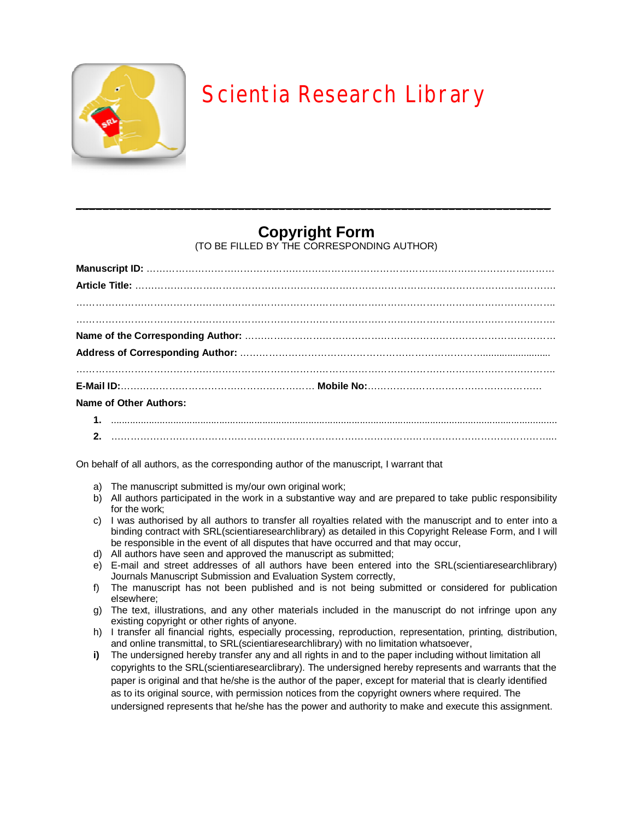

## Scientia Research Library

## **Copyright Form**

\_\_\_\_\_\_\_\_\_\_\_\_\_\_\_\_\_\_\_\_\_\_\_\_\_\_\_\_\_\_\_\_\_\_\_\_\_\_\_\_\_\_\_\_\_\_\_\_\_\_\_\_\_\_\_\_\_\_\_\_\_\_\_\_\_\_\_\_\_\_

(TO BE FILLED BY THE CORRESPONDING AUTHOR)

| Name of Other Authors: |  |
|------------------------|--|
|                        |  |
|                        |  |

On behalf of all authors, as the corresponding author of the manuscript, I warrant that

- a) The manuscript submitted is my/our own original work;
- b) All authors participated in the work in a substantive way and are prepared to take public responsibility for the work;
- c) I was authorised by all authors to transfer all royalties related with the manuscript and to enter into a binding contract with SRL(scientiaresearchlibrary) as detailed in this Copyright Release Form, and I will be responsible in the event of all disputes that have occurred and that may occur,
- d) All authors have seen and approved the manuscript as submitted;
- e) E-mail and street addresses of all authors have been entered into the SRL(scientiaresearchlibrary) Journals Manuscript Submission and Evaluation System correctly,
- f) The manuscript has not been published and is not being submitted or considered for publication elsewhere;
- g) The text, illustrations, and any other materials included in the manuscript do not infringe upon any existing copyright or other rights of anyone.
- h) I transfer all financial rights, especially processing, reproduction, representation, printing, distribution, and online transmittal, to SRL(scientiaresearchlibrary) with no limitation whatsoever,
- **i)** The undersigned hereby transfer any and all rights in and to the paper including without limitation all copyrights to the SRL(scientiaresearclibrary). The undersigned hereby represents and warrants that the paper is original and that he/she is the author of the paper, except for material that is clearly identified as to its original source, with permission notices from the copyright owners where required. The undersigned represents that he/she has the power and authority to make and execute this assignment.